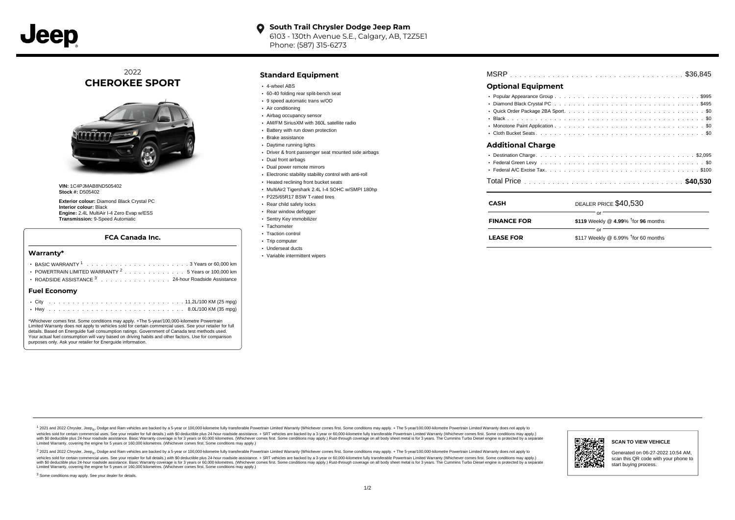

### **South Trail Chrysler Dodge Jeep Ram**  $\bullet$ 6103 - 130th Avenue S.E., Calgary, AB, T2Z5E1 Phone: (587) 315-6273

2022 **CHEROKEE SPORT**



**VIN:** 1C4PJMAB8ND505402 **Stock #:** D505402

**Exterior colour:** Diamond Black Crystal PC **Interior colour:** Black **Engine:** 2.4L MultiAir I-4 Zero Evap w/ESS **Transmission:** 9-Speed Automatic

### **FCA Canada Inc.**

#### **Warranty\***

| $.$ City            | $11.2$ $(100 \text{ KM} / 25 \text{ m})$                       |
|---------------------|----------------------------------------------------------------|
| <b>Fuel Economy</b> |                                                                |
|                     | ROADSIDE ASSISTANCE 3 24-hour Roadside Assistance              |
|                     | POWERTRAIN LIMITED WARRANTY <sup>2</sup> 5 Years or 100,000 km |
|                     |                                                                |
|                     |                                                                |

\*Whichever comes first. Some conditions may apply. +The 5-year/100,000-kilometre Powertrain Limited Warranty does not apply to vehicles sold for certain commercial uses. See your retailer for full details. Based on Energuide fuel consumption ratings. Government of Canada test methods used. Your actual fuel consumption will vary based on driving habits and other factors. Use for comparison purposes only. Ask your retailer for Energuide information.

## **Standard Equipment**

- 4-wheel ABS
- 60-40 folding rear split-bench seat
- 9 speed automatic trans w/OD
- Air conditioning
- Airbag occupancy sensor
- AM/FM SiriusXM with 360L satellite radio
- Battery with run down protection Brake assistance
- Daytime running lights
- Driver & front passenger seat mounted side airbags
- 
- Dual front airbags Dual power remote mirrors
- 
- Electronic stability stability control with anti-roll • Heated reclining front bucket seats
- 
- MultiAir2 Tigershark 2.4L I-4 SOHC w/SMPI 180hp
- P225/65R17 BSW T-rated tires
- Rear child safety locks
- Rear window defogger
- Sentry Key immobilizer · Tachometer
- 
- Traction control • Trip computer
- Underseat ducts
- Variable intermittent wipers

# **Optional Equipment**

 $\bullet$ 

| <b>Additional Charge</b> |
|--------------------------|
|                          |

. . . . . . . . . . . . . . . . . . . . . . . . . . . . . . . . . . . . . . . . . . . . . . Total Price **\$40,530**

| <b>CASH</b>        | DEALER PRICE \$40,530                        |
|--------------------|----------------------------------------------|
| <b>FINANCE FOR</b> | \$119 Weekly @ 4.99% $†$ for 96 months       |
| <b>LEASE FOR</b>   | nı<br>\$117 Weekly @ 6.99% $†$ for 60 months |

1 2021 and 2022 Chrysler, Jeep<sub>er</sub>, Dodge and Ram vehicles are backed by a 5-year or 100,000-kilometre fully transferable Powertrain Limited Warranty (Whichever comes first. Some conditions may apply. + The 5-year/100,000vehicles sold for certain commercial uses. See your retailer for full details.) with \$0 deductible plus 24-hour roadside assistance. + SRT vehicles are backed by a 3-year or 60,000-kilometre fully transferable Powertrain L versus and contract the mean of the contract of the contract with a contract with a contract the contract of the search of the contract and a control of the contract and contract and control of the search of the search of Limited Warranty, covering the engine for 5 years or 160,000 kilometres. (Whichever comes first. Some conditions may apply.)

<sup>2</sup> 2021 and 2022 Chrysler, Jeep<sub>®</sub>, Dodge and Ram vehicles are backed by a 5-year or 100,000-kilometre fully transferable Powertrain Limited Warranty (Whichever comes first. Some conditions may apply. + The 5-year/100,000 vehicles sold for certain commercial uses. See your retailer for full details.) with SO deductible plus 24-hour roadside assistance. + SRT vehicles are backed by a 3-year or 60.000-kilometre fully transferable Powertrain L with S0 deductible plus 24-hour roadside assistance. Basic Warranty coverage is for 3 years or 60,000 kilometres. (Whichever comes first. Some conditions may apply.) Rust-through coverage on all body sheet metal is for 3 y п ۵. **SCAN TO VIEW VEHICLE** Generated on 06-27-2022 10:54 AM, scan this QR code with your phone to start buying process.

#### <sup>3</sup> Some conditions may apply. See your dealer for details.